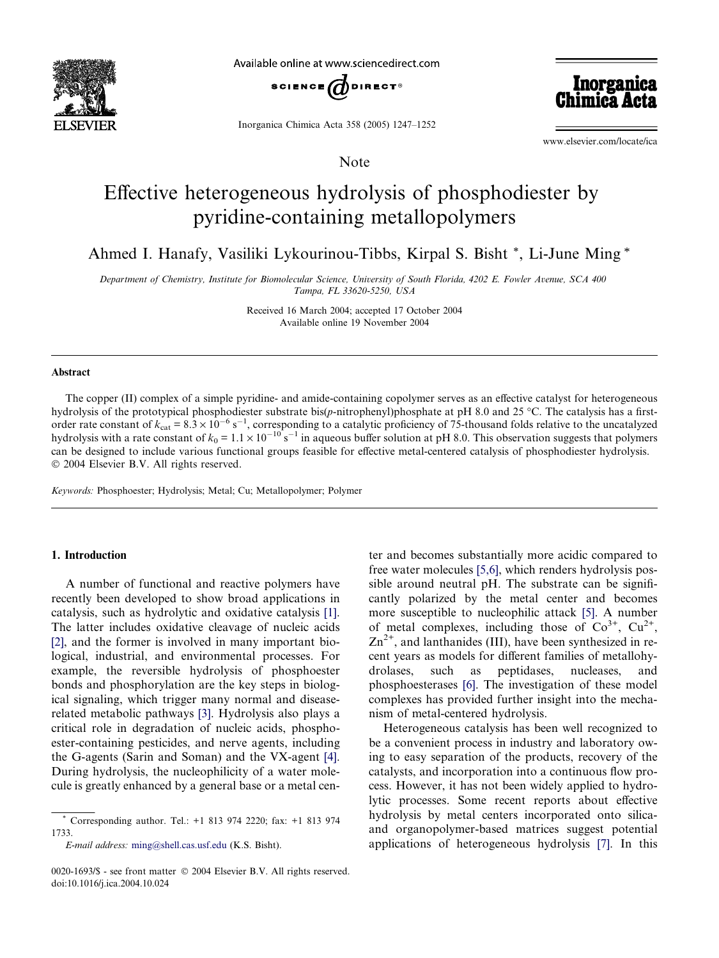

Available online at www.sciencedirect.com



Inorganica Chimica Acta 358 (2005) 1247–1252

Note

Inorganica Chimiea *I* 

www.elsevier.com/locate/ica

# Effective heterogeneous hydrolysis of phosphodiester by pyridine-containing metallopolymers

Ahmed I. Hanafy, Vasiliki Lykourinou-Tibbs, Kirpal S. Bisht \*, Li-June Ming \*

Department of Chemistry, Institute for Biomolecular Science, University of South Florida, 4202 E. Fowler Avenue, SCA 400 Tampa, FL 33620-5250, USA

> Received 16 March 2004; accepted 17 October 2004 Available online 19 November 2004

#### Abstract

The copper (II) complex of a simple pyridine- and amide-containing copolymer serves as an effective catalyst for heterogeneous hydrolysis of the prototypical phosphodiester substrate bis(p-nitrophenyl)phosphate at pH 8.0 and 25 °C. The catalysis has a firstorder rate constant of  $k_{\text{cat}} = 8.3 \times 10^{-6} \text{ s}^{-1}$ , corresponding to a catalytic proficiency of 75-thousand folds relative to the uncatalyzed hydrolysis with a rate constant of  $k_0 = 1.1 \times 10^{-10}$  s<sup>-1</sup> in aqueous buffer solution at pH 8.0. This observation suggests that polymers can be designed to include various functional groups feasible for effective metal-centered catalysis of phosphodiester hydrolysis.  $© 2004 Elsevier B.V. All rights reserved.$ 

Keywords: Phosphoester; Hydrolysis; Metal; Cu; Metallopolymer; Polymer

### 1. Introduction

A number of functional and reactive polymers have recently been developed to show broad applications in catalysis, such as hydrolytic and oxidative catalysis [\[1\].](#page-4-0) The latter includes oxidative cleavage of nucleic acids [\[2\],](#page-4-0) and the former is involved in many important biological, industrial, and environmental processes. For example, the reversible hydrolysis of phosphoester bonds and phosphorylation are the key steps in biological signaling, which trigger many normal and diseaserelated metabolic pathways [\[3\].](#page-4-0) Hydrolysis also plays a critical role in degradation of nucleic acids, phosphoester-containing pesticides, and nerve agents, including the G-agents (Sarin and Soman) and the VX-agent [\[4\].](#page-4-0) During hydrolysis, the nucleophilicity of a water molecule is greatly enhanced by a general base or a metal cen-

E-mail address: [ming@shell.cas.usf.edu](mailto:ming@shell.cas.usf.edu ) (K.S. Bisht).

ter and becomes substantially more acidic compared to free water molecules [\[5,6\],](#page-4-0) which renders hydrolysis possible around neutral pH. The substrate can be significantly polarized by the metal center and becomes more susceptible to nucleophilic attack [\[5\].](#page-4-0) A number of metal complexes, including those of  $Co^{3+}$ ,  $Cu^{2+}$ ,  $\text{Zn}^{2+}$ , and lanthanides (III), have been synthesized in recent years as models for different families of metallohydrolases, such as peptidases, nucleases, and phosphoesterases [\[6\].](#page-4-0) The investigation of these model complexes has provided further insight into the mechanism of metal-centered hydrolysis.

Heterogeneous catalysis has been well recognized to be a convenient process in industry and laboratory owing to easy separation of the products, recovery of the catalysts, and incorporation into a continuous flow process. However, it has not been widely applied to hydrolytic processes. Some recent reports about effective hydrolysis by metal centers incorporated onto silicaand organopolymer-based matrices suggest potential applications of heterogeneous hydrolysis [\[7\]](#page-4-0). In this

<sup>\*</sup> Corresponding author. Tel.: +1 813 974 2220; fax: +1 813 974 1733.

<sup>0020-1693/\$ -</sup> see front matter © 2004 Elsevier B.V. All rights reserved. doi:10.1016/j.ica.2004.10.024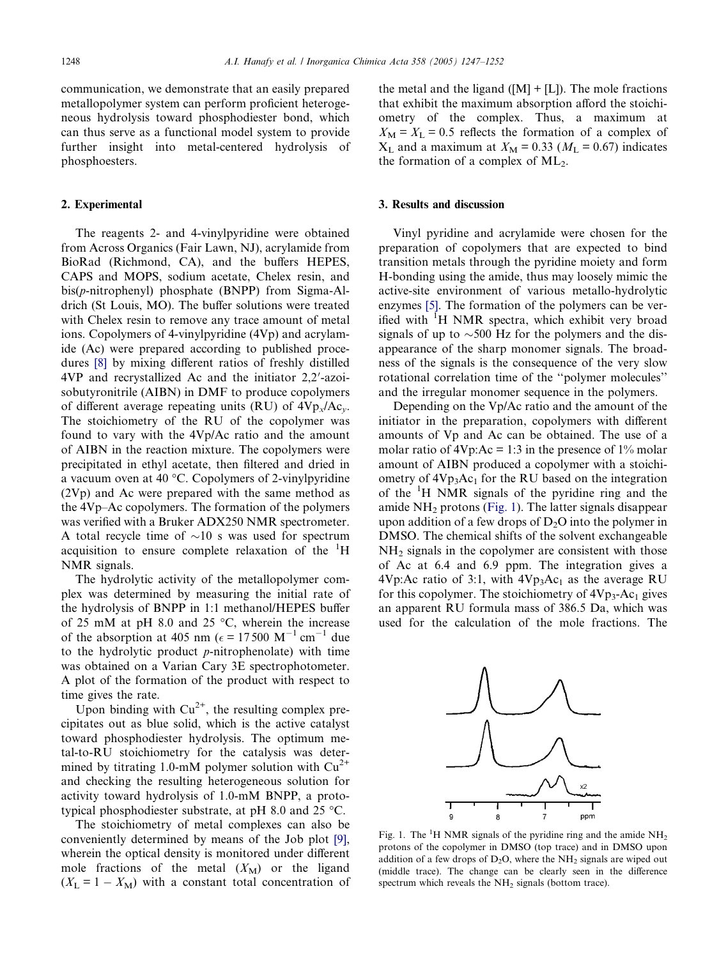communication, we demonstrate that an easily prepared metallopolymer system can perform proficient heterogeneous hydrolysis toward phosphodiester bond, which can thus serve as a functional model system to provide further insight into metal-centered hydrolysis of phosphoesters.

### 2. Experimental

The reagents 2- and 4-vinylpyridine were obtained from Across Organics (Fair Lawn, NJ), acrylamide from BioRad (Richmond, CA), and the buffers HEPES, CAPS and MOPS, sodium acetate, Chelex resin, and bis(p-nitrophenyl) phosphate (BNPP) from Sigma-Aldrich (St Louis, MO). The buffer solutions were treated with Chelex resin to remove any trace amount of metal ions. Copolymers of 4-vinylpyridine (4Vp) and acrylamide (Ac) were prepared according to published procedures [\[8\]](#page-5-0) by mixing different ratios of freshly distilled 4VP and recrystallized Ac and the initiator 2,2'-azoisobutyronitrile (AIBN) in DMF to produce copolymers of different average repeating units (RU) of  $4Vp_x/Ac_y$ . The stoichiometry of the RU of the copolymer was found to vary with the 4Vp/Ac ratio and the amount of AIBN in the reaction mixture. The copolymers were precipitated in ethyl acetate, then filtered and dried in a vacuum oven at 40  $\degree$ C. Copolymers of 2-vinylpyridine (2Vp) and Ac were prepared with the same method as the 4Vp–Ac copolymers. The formation of the polymers was verified with a Bruker ADX250 NMR spectrometer. A total recycle time of  $\sim 10$  s was used for spectrum acquisition to ensure complete relaxation of the <sup>1</sup>H NMR signals.

The hydrolytic activity of the metallopolymer complex was determined by measuring the initial rate of the hydrolysis of BNPP in 1:1 methanol/HEPES buffer of 25 mM at pH 8.0 and 25  $\degree$ C, wherein the increase of the absorption at 405 nm ( $\epsilon$  = 17500 M<sup>-1</sup> cm<sup>-1</sup> due to the hydrolytic product  $p$ -nitrophenolate) with time was obtained on a Varian Cary 3E spectrophotometer. A plot of the formation of the product with respect to time gives the rate.

Upon binding with  $Cu^{2+}$ , the resulting complex precipitates out as blue solid, which is the active catalyst toward phosphodiester hydrolysis. The optimum metal-to-RU stoichiometry for the catalysis was determined by titrating 1.0-mM polymer solution with  $Cu^{2+}$ and checking the resulting heterogeneous solution for activity toward hydrolysis of 1.0-mM BNPP, a prototypical phosphodiester substrate, at pH 8.0 and 25  $^{\circ}$ C.

The stoichiometry of metal complexes can also be conveniently determined by means of the Job plot [\[9\]](#page-5-0), wherein the optical density is monitored under different mole fractions of the metal  $(X_M)$  or the ligand  $(X_L = 1 - X_M)$  with a constant total concentration of the metal and the ligand  $([M] + [L])$ . The mole fractions that exhibit the maximum absorption afford the stoichiometry of the complex. Thus, a maximum at  $X_M = X_L = 0.5$  reflects the formation of a complex of  $X_L$  and a maximum at  $X_M = 0.33$  ( $M_L = 0.67$ ) indicates the formation of a complex of  $ML_2$ .

### 3. Results and discussion

Vinyl pyridine and acrylamide were chosen for the preparation of copolymers that are expected to bind transition metals through the pyridine moiety and form H-bonding using the amide, thus may loosely mimic the active-site environment of various metallo-hydrolytic enzymes [\[5\].](#page-4-0) The formation of the polymers can be verified with <sup>I</sup>H NMR spectra, which exhibit very broad signals of up to  $\sim$ 500 Hz for the polymers and the disappearance of the sharp monomer signals. The broadness of the signals is the consequence of the very slow rotational correlation time of the ''polymer molecules'' and the irregular monomer sequence in the polymers.

Depending on the Vp/Ac ratio and the amount of the initiator in the preparation, copolymers with different amounts of Vp and Ac can be obtained. The use of a molar ratio of  $4Vp:Ac = 1:3$  in the presence of  $1\%$  molar amount of AIBN produced a copolymer with a stoichiometry of  $4Vp_3Ac_1$  for the RU based on the integration of the <sup>1</sup>H NMR signals of the pyridine ring and the amide  $NH<sub>2</sub>$  protons (Fig. 1). The latter signals disappear upon addition of a few drops of  $D_2O$  into the polymer in DMSO. The chemical shifts of the solvent exchangeable NH<sub>2</sub> signals in the copolymer are consistent with those of Ac at 6.4 and 6.9 ppm. The integration gives a 4Vp: Ac ratio of 3:1, with  $4Vp_3Ac_1$  as the average RU for this copolymer. The stoichiometry of  $4Vp_3$ -Ac<sub>1</sub> gives an apparent RU formula mass of 386.5 Da, which was used for the calculation of the mole fractions. The



Fig. 1. The <sup>1</sup>H NMR signals of the pyridine ring and the amide  $NH<sub>2</sub>$ protons of the copolymer in DMSO (top trace) and in DMSO upon addition of a few drops of  $D_2O$ , where the NH<sub>2</sub> signals are wiped out (middle trace). The change can be clearly seen in the difference spectrum which reveals the  $NH<sub>2</sub>$  signals (bottom trace).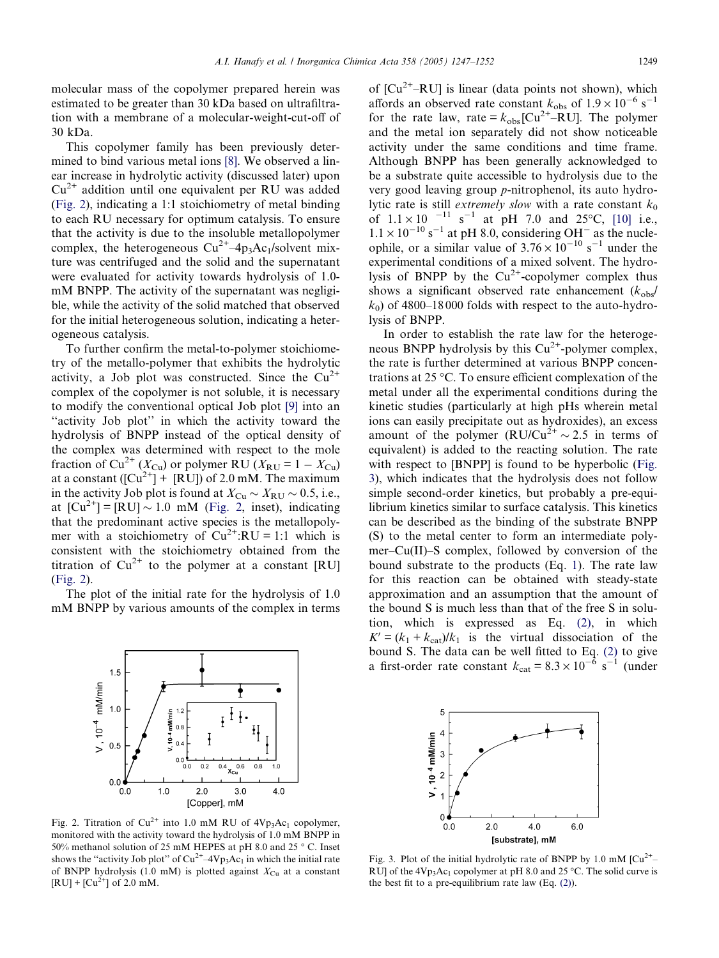A.I. Hanafy et al. / Inorganica Chimica Acta 358 (2005) 1247–1252 1249

<span id="page-2-0"></span>molecular mass of the copolymer prepared herein was estimated to be greater than 30 kDa based on ultrafiltration with a membrane of a molecular-weight-cut-off of 30 kDa.

This copolymer family has been previously determined to bind various metal ions [\[8\]](#page-5-0). We observed a linear increase in hydrolytic activity (discussed later) upon  $Cu<sup>2+</sup>$  addition until one equivalent per RU was added (Fig. 2), indicating a 1:1 stoichiometry of metal binding to each RU necessary for optimum catalysis. To ensure that the activity is due to the insoluble metallopolymer complex, the heterogeneous  $Cu^{2+}-4p_3Ac_1/solvent$  mixture was centrifuged and the solid and the supernatant were evaluated for activity towards hydrolysis of 1.0 mM BNPP. The activity of the supernatant was negligible, while the activity of the solid matched that observed for the initial heterogeneous solution, indicating a heterogeneous catalysis.

To further confirm the metal-to-polymer stoichiometry of the metallo-polymer that exhibits the hydrolytic activity, a Job plot was constructed. Since the  $Cu^{2+}$ complex of the copolymer is not soluble, it is necessary to modify the conventional optical Job plot [\[9\]](#page-5-0) into an "activity Job plot" in which the activity toward the hydrolysis of BNPP instead of the optical density of the complex was determined with respect to the mole fraction of Cu<sup>2+</sup> ( $X_{\text{Cu}}$ ) or polymer RU ( $X_{\text{RU}} = 1 - X_{\text{Cu}}$ ) at a constant  $([Cu^{2+}] + [RU])$  of 2.0 mM. The maximum in the activity Job plot is found at  $X_{\text{Cu}} \sim X_{\text{RU}} \sim 0.5$ , i.e., at  $\text{[Cu}^{2+}\text{]} = \text{[RU]} \sim 1.0 \text{ mM (Fig. 2, inset), indicating}$ that the predominant active species is the metallopolymer with a stoichiometry of  $Cu^{2+}$ :RU = 1:1 which is consistent with the stoichiometry obtained from the titration of  $Cu^{2+}$  to the polymer at a constant [RU] (Fig. 2).

The plot of the initial rate for the hydrolysis of 1.0 mM BNPP by various amounts of the complex in terms



Fig. 2. Titration of  $Cu^{2+}$  into 1.0 mM RU of  $4Vp_3Ac_1$  copolymer, monitored with the activity toward the hydrolysis of 1.0 mM BNPP in 50% methanol solution of 25 mM HEPES at pH 8.0 and 25 °C. Inset shows the "activity Job plot" of  $Cu^{2+}-4Vp_3Ac_1$  in which the initial rate of BNPP hydrolysis (1.0 mM) is plotted against  $X_{\text{Cu}}$  at a constant  $[RU] + [Cu^{2+}]$  of 2.0 mM.

of  $[Cu^{2+}-RU]$  is linear (data points not shown), which affords an observed rate constant  $k_{\text{obs}}$  of  $1.9 \times 10^{-6}$  s<sup>-1</sup> for the rate law, rate =  $k_{obs}$  [Cu<sup>2+</sup>–RU]. The polymer and the metal ion separately did not show noticeable activity under the same conditions and time frame. Although BNPP has been generally acknowledged to be a substrate quite accessible to hydrolysis due to the very good leaving group p-nitrophenol, its auto hydrolytic rate is still *extremely slow* with a rate constant  $k_0$ of  $1.1 \times 10^{-11}$  s<sup>-1</sup> at pH 7.0 and 25°C, [\[10\]](#page-5-0) i.e.,  $1.1 \times 10^{-10}$  s<sup>-1</sup> at pH 8.0, considering OH<sup>-</sup> as the nucleophile, or a similar value of  $3.76 \times 10^{-10}$  s<sup>-1</sup> under the experimental conditions of a mixed solvent. The hydrolysis of BNPP by the  $Cu^{2+}$ -copolymer complex thus shows a significant observed rate enhancement  $(k_{obs}/s)$  $k_0$ ) of 4800–18000 folds with respect to the auto-hydrolysis of BNPP.

In order to establish the rate law for the heterogeneous BNPP hydrolysis by this  $Cu^{2+}$ -polymer complex, the rate is further determined at various BNPP concentrations at 25  $\mathrm{^{\circ}C}$ . To ensure efficient complexation of the metal under all the experimental conditions during the kinetic studies (particularly at high pHs wherein metal ions can easily precipitate out as hydroxides), an excess amount of the polymer  $(RU/Cu^{2+} \sim 2.5$  in terms of equivalent) is added to the reacting solution. The rate with respect to [BNPP] is found to be hyperbolic (Fig. 3), which indicates that the hydrolysis does not follow simple second-order kinetics, but probably a pre-equilibrium kinetics similar to surface catalysis. This kinetics can be described as the binding of the substrate BNPP (S) to the metal center to form an intermediate polymer–Cu(II)–S complex, followed by conversion of the bound substrate to the products (Eq. [1\)](#page-3-0). The rate law for this reaction can be obtained with steady-state approximation and an assumption that the amount of the bound S is much less than that of the free S in solution, which is expressed as Eq. [\(2\),](#page-3-0) in which  $K' = (k_1 + k_{cat})/k_1$  is the virtual dissociation of the bound S. The data can be well fitted to Eq. [\(2\)](#page-3-0) to give a first-order rate constant  $k_{\text{cat}} = 8.3 \times 10^{-6} \text{ s}^{-1}$  (under



Fig. 3. Plot of the initial hydrolytic rate of BNPP by 1.0 mM  $\text{ICu}^{2+}$ -RU] of the  $4Vp_3Ac_1$  copolymer at pH 8.0 and 25 °C. The solid curve is the best fit to a pre-equilibrium rate law  $(Eq. (2))$  $(Eq. (2))$  $(Eq. (2))$ .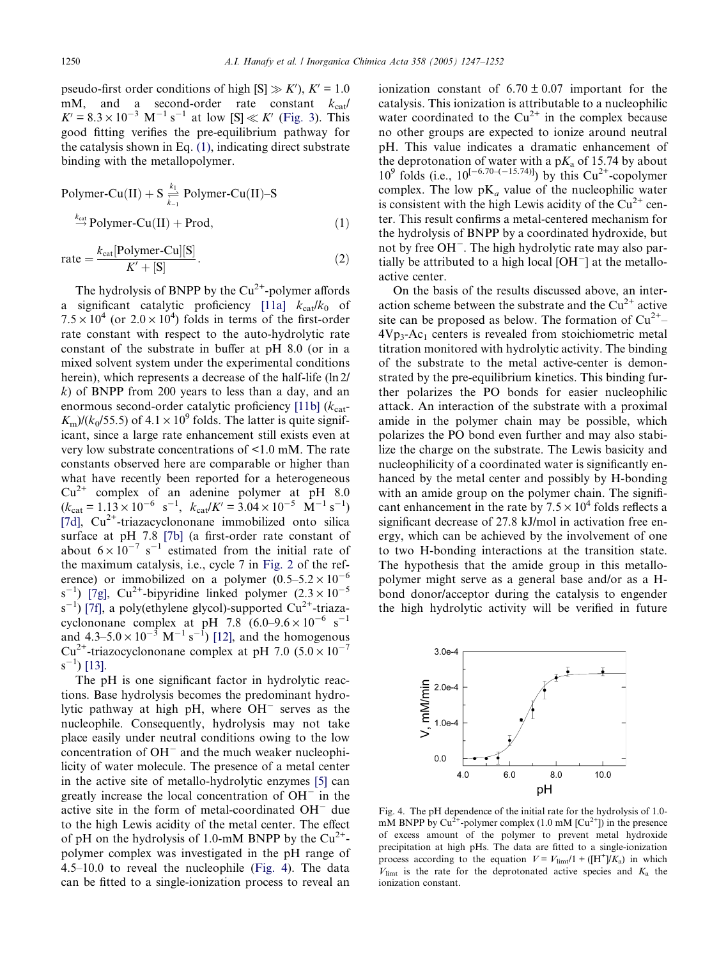<span id="page-3-0"></span>pseudo-first order conditions of high  $[S] \gg K'$ ,  $K' = 1.0$ mM, and a second-order rate constant  $k_{\text{cat}}/$  $K' = 8.3 \times 10^{-3} \text{ M}^{-1} \text{ s}^{-1}$  at low [S]  $\ll K'$  [\(Fig. 3\)](#page-2-0). This good fitting verifies the pre-equilibrium pathway for the catalysis shown in Eq. (1), indicating direct substrate binding with the metallopolymer.

Polymer-Cu(II) + S 
$$
\underset{k_{-1}}{\overset{k_1}{\rightleftharpoons}}
$$
 Polymer-Cu(II)–S  
 $\overset{k_{cat}}{\rightarrow}$ Polymer-Cu(II) + Prod, (1)

$$
rate = \frac{k_{cat}[Polymer-Cu][S]}{K' + [S]}.
$$
 (2)

The hydrolysis of BNPP by the  $Cu^{2+}$ -polymer affords a significant catalytic proficiency [11a]  $k_{cat}/k_0$  of  $7.5 \times 10^4$  (or  $2.0 \times 10^4$ ) folds in terms of the first-order rate constant with respect to the auto-hydrolytic rate constant of the substrate in buffer at pH 8.0 (or in a mixed solvent system under the experimental conditions herein), which represents a decrease of the half-life (ln 2/  $k$ ) of BNPP from 200 years to less than a day, and an enormous second-order catalytic proficiency  $[11b]$  ( $k_{cat}$ - $K_{\rm m}/(k_0/55.5)$  of  $4.1 \times 10^9$  folds. The latter is quite significant, since a large rate enhancement still exists even at very low substrate concentrations of <1.0 mM. The rate constants observed here are comparable or higher than what have recently been reported for a heterogeneous  $Cu^{2+}$  complex of an adenine polymer at pH 8.0  $(k_{\text{cat}} = 1.13 \times 10^{-6} \text{ s}^{-1}, k_{\text{cat}}/K' = 3.04 \times 10^{-5} \text{ M}^{-1} \text{ s}^{-1})$ [7d],  $Cu<sup>2+</sup>$ -triazacyclononane immobilized onto silica surface at pH 7.8 [7b] (a first-order rate constant of about  $6 \times 10^{-7}$  s<sup>-1</sup> estimated from the initial rate of the maximum catalysis, i.e., cycle 7 in [Fig. 2](#page-2-0) of the reference) or immobilized on a polymer  $(0.5-5.2 \times 10^{-6}$  $(s^{-1})$  [7g],  $Cu^{2+}$ -bipyridine linked polymer  $(2.3 \times 10^{-5})$  $(s^{-1})$  [7f], a poly(ethylene glycol)-supported Cu<sup>2+</sup>-triazacyclononane complex at pH  $7.8 \ (6.0 - 9.6 \times 10^{-6} \text{ s}^{-1})$ and  $4.3 - 5.0 \times 10^{-3}$  M<sup>-1</sup> s<sup>-1</sup>) [\[12\]](#page-5-0), and the homogenous  $Cu^{2+}$ -triazocyclononane complex at pH 7.0 (5.0 × 10<sup>-7</sup>)  $(s^{-1})$  [\[13\]](#page-5-0).

The pH is one significant factor in hydrolytic reactions. Base hydrolysis becomes the predominant hydrolytic pathway at high pH, where  $OH^-$  serves as the nucleophile. Consequently, hydrolysis may not take place easily under neutral conditions owing to the low concentration of  $OH^-$  and the much weaker nucleophilicity of water molecule. The presence of a metal center in the active site of metallo-hydrolytic enzymes [\[5\]](#page-4-0) can greatly increase the local concentration of  $OH^-$  in the active site in the form of metal-coordinated  $OH^-$  due to the high Lewis acidity of the metal center. The effect of pH on the hydrolysis of 1.0-mM BNPP by the  $Cu^{2+}$ polymer complex was investigated in the pH range of 4.5–10.0 to reveal the nucleophile (Fig. 4). The data can be fitted to a single-ionization process to reveal an

ionization constant of  $6.70 \pm 0.07$  important for the catalysis. This ionization is attributable to a nucleophilic water coordinated to the  $Cu^{2+}$  in the complex because no other groups are expected to ionize around neutral pH. This value indicates a dramatic enhancement of the deprotonation of water with a  $pK_a$  of 15.74 by about  $10^9$  folds (i.e.,  $10^{[-6.70 - (-15.74)]}$ ) by this Cu<sup>2+</sup>-copolymer complex. The low  $pK_a$  value of the nucleophilic water is consistent with the high Lewis acidity of the  $Cu^{2+}$  center. This result confirms a metal-centered mechanism for the hydrolysis of BNPP by a coordinated hydroxide, but not by free OH<sup>-</sup>. The high hydrolytic rate may also partially be attributed to a high local  $[OH^-]$  at the metalloactive center.

On the basis of the results discussed above, an interaction scheme between the substrate and the  $Cu^{2+}$  active site can be proposed as below. The formation of  $Cu^{2+}$ –  $4Vp_3$ -Ac<sub>1</sub> centers is revealed from stoichiometric metal titration monitored with hydrolytic activity. The binding of the substrate to the metal active-center is demonstrated by the pre-equilibrium kinetics. This binding further polarizes the PO bonds for easier nucleophilic attack. An interaction of the substrate with a proximal amide in the polymer chain may be possible, which polarizes the PO bond even further and may also stabilize the charge on the substrate. The Lewis basicity and nucleophilicity of a coordinated water is significantly enhanced by the metal center and possibly by H-bonding with an amide group on the polymer chain. The significant enhancement in the rate by  $7.5 \times 10^4$  folds reflects a significant decrease of 27.8 kJ/mol in activation free energy, which can be achieved by the involvement of one to two H-bonding interactions at the transition state. The hypothesis that the amide group in this metallopolymer might serve as a general base and/or as a Hbond donor/acceptor during the catalysis to engender the high hydrolytic activity will be verified in future



Fig. 4. The pH dependence of the initial rate for the hydrolysis of 1.0 mM BNPP by  $Cu^{2+}$ -polymer complex (1.0 mM  $[Cu^{2+}]$ ) in the presence of excess amount of the polymer to prevent metal hydroxide precipitation at high pHs. The data are fitted to a single-ionization process according to the equation  $V = V_{\text{limit}}/1 + ([H^+]/K_a)$  in which  $V_{\text{limit}}$  is the rate for the deprotonated active species and  $K_a$  the ionization constant.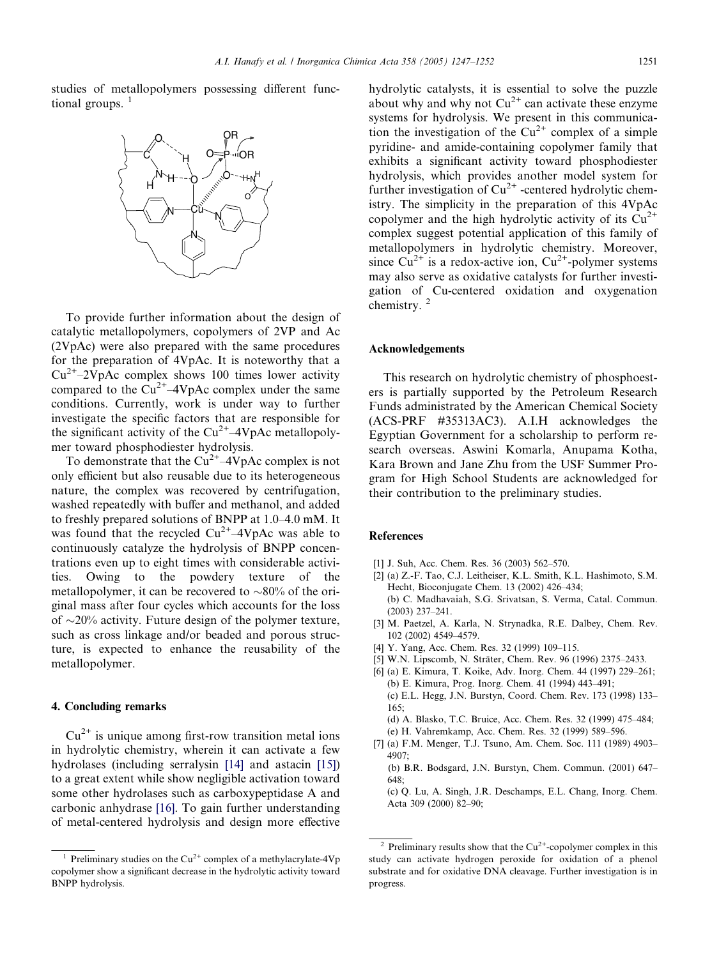<span id="page-4-0"></span>studies of metallopolymers possessing different functional groups.  $<sup>1</sup>$ </sup>



To provide further information about the design of catalytic metallopolymers, copolymers of 2VP and Ac (2VpAc) were also prepared with the same procedures for the preparation of 4VpAc. It is noteworthy that a  $Cu^{2+}-2VpAc$  complex shows 100 times lower activity compared to the  $Cu^{2+}-4VpAc$  complex under the same conditions. Currently, work is under way to further investigate the specific factors that are responsible for the significant activity of the  $Cu^{2+}-4VpAc$  metallopolymer toward phosphodiester hydrolysis.

To demonstrate that the  $Cu^{2+}-4VpAc$  complex is not only efficient but also reusable due to its heterogeneous nature, the complex was recovered by centrifugation, washed repeatedly with buffer and methanol, and added to freshly prepared solutions of BNPP at 1.0–4.0 mM. It was found that the recycled  $Cu^{2+}-4VpAc$  was able to continuously catalyze the hydrolysis of BNPP concentrations even up to eight times with considerable activities. Owing to the powdery texture of the metallopolymer, it can be recovered to  $\sim80\%$  of the original mass after four cycles which accounts for the loss of  $\sim$ 20% activity. Future design of the polymer texture, such as cross linkage and/or beaded and porous structure, is expected to enhance the reusability of the metallopolymer.

## 4. Concluding remarks

 $Cu<sup>2+</sup>$  is unique among first-row transition metal ions in hydrolytic chemistry, wherein it can activate a few hydrolases (including serralysin [\[14\]](#page-5-0) and astacin [\[15\]](#page-5-0)) to a great extent while show negligible activation toward some other hydrolases such as carboxypeptidase A and carbonic anhydrase [\[16\].](#page-5-0) To gain further understanding of metal-centered hydrolysis and design more effective

hydrolytic catalysts, it is essential to solve the puzzle about why and why not  $Cu^{2+}$  can activate these enzyme systems for hydrolysis. We present in this communication the investigation of the  $Cu^{2+}$  complex of a simple pyridine- and amide-containing copolymer family that exhibits a significant activity toward phosphodiester hydrolysis, which provides another model system for further investigation of  $Cu^{2+}$  -centered hydrolytic chemistry. The simplicity in the preparation of this 4VpAc copolymer and the high hydrolytic activity of its  $Cu^{2+}$ complex suggest potential application of this family of metallopolymers in hydrolytic chemistry. Moreover, since  $Cu^{2+}$  is a redox-active ion,  $Cu^{2+}$ -polymer systems may also serve as oxidative catalysts for further investigation of Cu-centered oxidation and oxygenation chemistry.<sup>2</sup>

### Acknowledgements

This research on hydrolytic chemistry of phosphoesters is partially supported by the Petroleum Research Funds administrated by the American Chemical Society (ACS-PRF #35313AC3). A.I.H acknowledges the Egyptian Government for a scholarship to perform research overseas. Aswini Komarla, Anupama Kotha, Kara Brown and Jane Zhu from the USF Summer Program for High School Students are acknowledged for their contribution to the preliminary studies.

#### References

- [1] J. Suh, Acc. Chem. Res. 36 (2003) 562–570.
- [2] (a) Z.-F. Tao, C.J. Leitheiser, K.L. Smith, K.L. Hashimoto, S.M. Hecht, Bioconjugate Chem. 13 (2002) 426–434; (b) C. Madhavaiah, S.G. Srivatsan, S. Verma, Catal. Commun. (2003) 237–241.
- [3] M. Paetzel, A. Karla, N. Strynadka, R.E. Dalbey, Chem. Rev. 102 (2002) 4549–4579.
- [4] Y. Yang, Acc. Chem. Res. 32 (1999) 109-115.
- [5] W.N. Lipscomb, N. Sträter, Chem. Rev. 96 (1996) 2375-2433.
- [6] (a) E. Kimura, T. Koike, Adv. Inorg. Chem. 44 (1997) 229–261; (b) E. Kimura, Prog. Inorg. Chem. 41 (1994) 443–491; (c) E.L. Hegg, J.N. Burstyn, Coord. Chem. Rev. 173 (1998) 133– 165;
	- (d) A. Blasko, T.C. Bruice, Acc. Chem. Res. 32 (1999) 475–484;
	- (e) H. Vahremkamp, Acc. Chem. Res. 32 (1999) 589–596.
- [7] (a) F.M. Menger, T.J. Tsuno, Am. Chem. Soc. 111 (1989) 4903– 4907;
	- (b) B.R. Bodsgard, J.N. Burstyn, Chem. Commun. (2001) 647–  $648$
	- (c) Q. Lu, A. Singh, J.R. Deschamps, E.L. Chang, Inorg. Chem. Acta 309 (2000) 82–90;

Preliminary studies on the  $Cu^{2+}$  complex of a methylacrylate-4Vp copolymer show a significant decrease in the hydrolytic activity toward BNPP hydrolysis.

<sup>&</sup>lt;sup>2</sup> Preliminary results show that the  $Cu^{2+}$ -copolymer complex in this study can activate hydrogen peroxide for oxidation of a phenol substrate and for oxidative DNA cleavage. Further investigation is in progress.